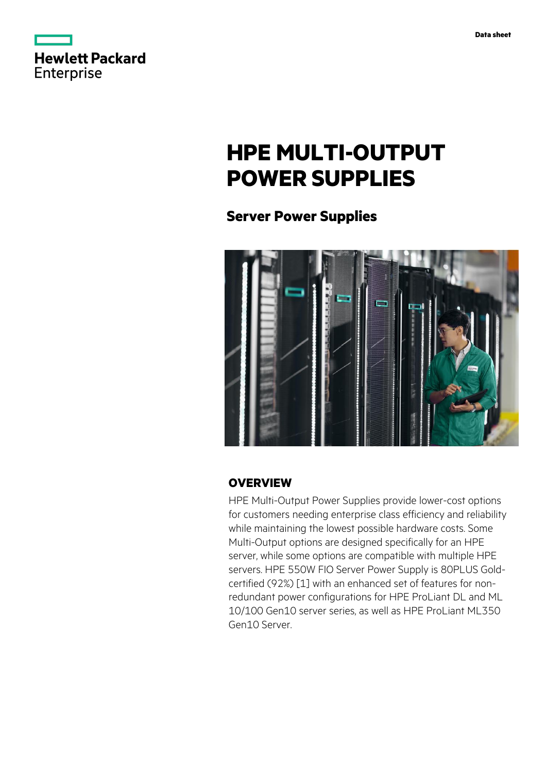

# **HPE MULTI-OUTPUT POWER SUPPLIES**

# **Server Power Supplies**



## **OVERVIEW**

HPE Multi-Output Power Supplies provide lower-cost options for customers needing enterprise class efficiency and reliability while maintaining the lowest possible hardware costs. Some Multi-Output options are designed specifically for an HPE server, while some options are compatible with multiple HPE servers. HPE 550W FIO Server Power Supply is 80PLUS Goldcertified (92%) [1] with an enhanced set of features for nonredundant power configurations for HPE ProLiant DL and ML 10/100 Gen10 server series, as well as HPE ProLiant ML350 Gen10 Server.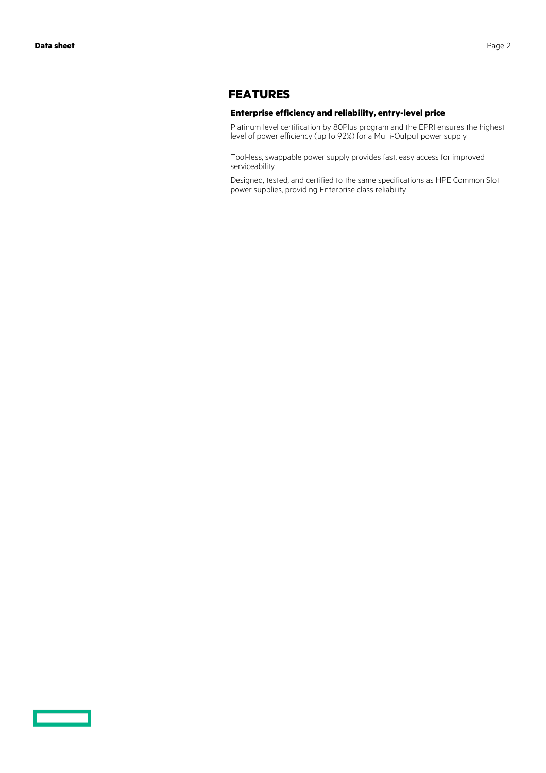### **FEATURES**

#### **Enterprise efficiency and reliability, entry-level price**

Platinum level certification by 80Plus program and the EPRI ensures the highest level of power efficiency (up to 92%) for a Multi-Output power supply

Tool-less, swappable power supply provides fast, easy access for improved serviceability

Designed, tested, and certified to the same specifications as HPE Common Slot power supplies, providing Enterprise class reliability